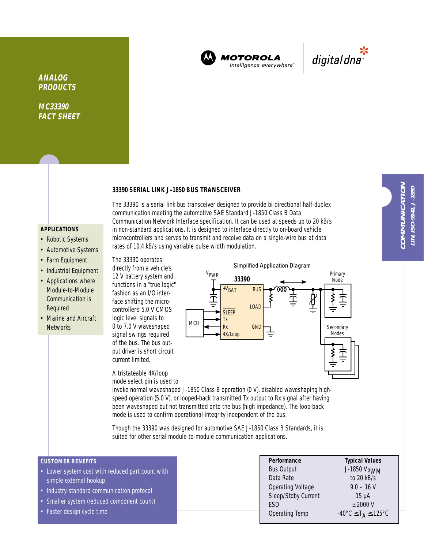

**MOTOROLA** intelligence everywhere<sup>®</sup>



**ANALOG PRODUCTS**

**MC33390 FACT SHEET**

#### **33390 SERIAL LINK J-1850 BUS TRANSCEIVER**

## **APPLICATIONS**

- Robotic Systems
- Automotive Systems
- Farm Equipment
- Industrial Equipment
- Applications where Module-to-Module Communication is Required
- Marine and Aircraft **Networks**

The 33390 is a serial link bus transceiver designed to provide bi-directional half-duplex communication meeting the automotive SAE Standard J-1850 Class B Data Communication Network Interface specification. It can be used at speeds up to 20 kB/s in non-standard applications. It is designed to interface directly to on-board vehicle microcontrollers and serves to transmit and receive data on a single-wire bus at data rates of 10.4 kB/s using variable pulse width modulation.

The 33390 operates

directly from a vehicle's 12 V battery system and functions in a "true logic" fashion as an I/O interface shifting the microcontroller's 5.0 V CMOS logic level signals to 0 to 7.0 V waveshaped signal swings required of the bus. The bus output driver is short circuit current limited.

A tristateable 4X/loop mode select pin is used to

**33390** Primary<br>Node Node Node **Secondary** Nodes **MCU** VPWR +VBAT **SLEEP** Tx Rx 4X/Loop **GND** BUS LOAD

Simplified Application Diagram

invoke normal waveshaped J-1850 Class B operation (0 V), disabled waveshaping highspeed operation (5.0 V), or looped-back transmitted Tx output to Rx signal after having been waveshaped but not transmitted onto the bus (high impedance). The loop-back mode is used to confirm operational integrity independent of the bus.

Though the 33390 was designed for automotive SAE J-1850 Class B Standards, it is suited for other serial module-to-module communication applications.

# **CUSTOMER BENEFITS**

- Lower system cost with reduced part count with simple external hookup
- Industry-standard communication protocol
- Smaller system (reduced component count)
- Faster design cycle time

| Performance              | <b>Typical Values</b>                                         |
|--------------------------|---------------------------------------------------------------|
| <b>Bus Output</b>        | J-1850 VPWM                                                   |
| Data Rate                | to 20 kB/s                                                    |
| <b>Operating Voltage</b> | $9.0 - 16$ V                                                  |
| Sleep/Stdby Current      | $15 \mu A$                                                    |
| <b>FSD</b>               | $±$ 2000 V                                                    |
| Operating Temp           | $-40^{\circ}$ C $\leq$ T <sub>A</sub> $\leq$ 125 $^{\circ}$ C |